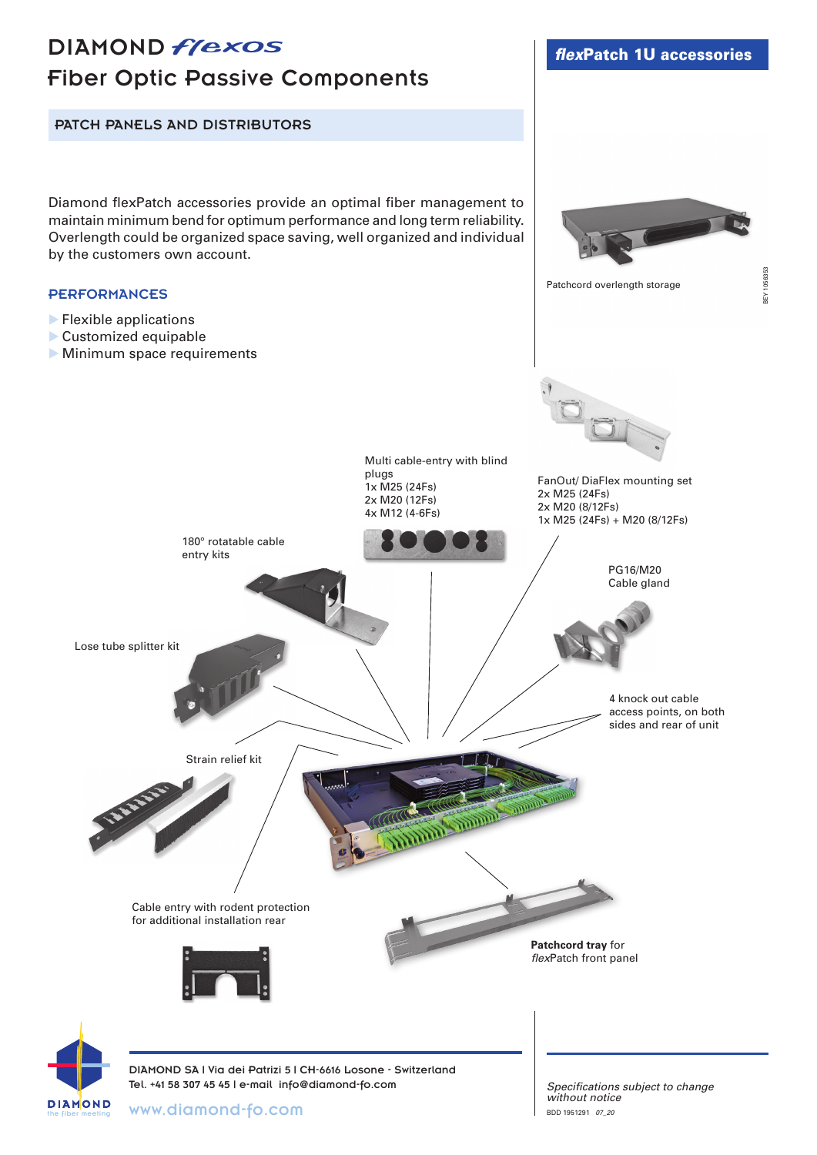# DIAMOND *flexos* Fiber Optic Passive Components

PATCH PANELS AND DISTRIBUTORS

Diamond flexPatch accessories provide an optimal fiber management to maintain minimum bend for optimum performance and long term reliability. Overlength could be organized space saving, well organized and individual by the customers own account.

#### **PERFORMANCES**

- $\blacktriangleright$  Flexible applications
- Customized equipable
- **Minimum space requirements**



Patchcord overlength storage



the fiber meeting

**DIAMOND** 

*Specifications subject to change without notice* BDD 1951291 *07\_20*